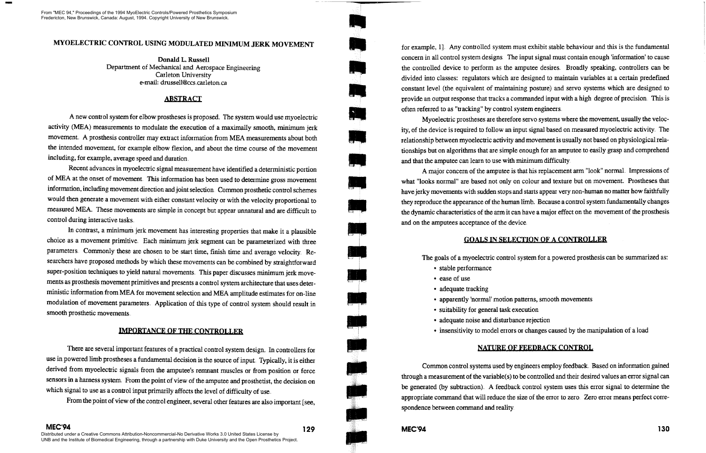# MYOELECTRIC CONTROL USING MODULATED MINIMUM JERK MOVEMENT

Donald L. Russell Department of Mechanical and Aerospace Engineering Carleton University e-mail: drussell@ccs carleton ca

## ABSTRACT

A new control system for elbow prostheses is proposed. The system would use myoelecuic activity (MEA) measurements to modulate the execution of a maximally smooth, minimum jerk movement. A prosthesis controller may extract information from MEA measurements about both the intended movement, for example elbow flexion, and about the time course of the movement including, for example, average speed and duration

Recent advances in myoelectric signal measurement have identified a deterministic portion of MEA at the onset of movement. This information has been used to determine gross movement information, including movement direction and joint selection Common prosthetic control schemes would then generate a movement with either constant velocity or with the velocity proportional to measured MEA. These movements are simple in concept but appear unnatural and are difficult to control during interactive tasks

In contrast, a minimum jerk movement has interesting properties that make it a plausible choice as a movement primitive. Each minimum jerk segment can be parameterized with three parameters. Commonly these are chosen to be start time, finish time and average velocity. Researchers have proposed methods by which these movements can be combined by straightfor ward super-position techniques to yield natural movements. This paper discusses minimum jerk movements as prosthesis movement primitives and presents a control system architecture that uses deterministic information from MEA for movement selection and MEA amplitude estimates for on-line modulation of movement parameters Application of this type of control system should result in smooth prosthetic movements

## IMPORTANCE OF THE CONTROLLER

There are several important features of a practical control system design. In controllers for use in powered limb prostheses a fundamental decision is the source of input Typically, it is either derived from myoelectric signals from the amputee's remnant muscles or from position or force sensors in a harness system. From the point of view of the amputee and prosthetist, the decision on which signal to use as a control input primarily affects the level of difficulty of use.

for example, 1]. Any controlled system must exhibit stable behaviour and this is the fundamental concern in all control system designs The input signal must contain enough 'information' to cause the controlled device to perform as the amputee desires. Broadly speaking, controllers can be divided into classes: regulators which are designed to maintain variables at a certain predefined constant level (the equivalent of maintaining posture) and servo systems which are designed to provide an output response that tracks a commanded input with a high degree of precision This is often referred to as "tracking" by control system engineers

A major concern of the amputee is that his replacement arm "look" normal. Impressions of what "looks normal" are based not only on colour and texture but on movement. Prostheses that have jerky movements with sudden stops and starts appear very non-human no matter how faithfully they reproduce the appearance of the human limb. Because a control system fundamentally changes the dynamic characteristics of the arm it can have a major effect on the movement of the prosthesis and on the amputees acceptance of the device

From the point of view of the control engineer, several other features are also important [see,

Common control systems used by engineers employ feedback. Based on information gained through a meastuement of the variable(s) to be controlled and their desired values an error signal can be generated (by subtraction). A feedback control system uses this error signal to determine the appropriate command that will reduce the size of the error to zero Zero error means perfect correspondence between command and reality



Myoelectric prostheses are therefore servo systems where the movement, usually the velocity, of the device is required to follow an input signal based on measured myoelectric activity The relationship between myoelectric activity and movement is usually not based on physiological relationships but on algorithms that are simple enough for an amputee to easily grasp and comprehend and that the amputee can learn to use with minimum difficulty.

# GOALS IN SELECTION OF A CONTROLLER

The goals of a myoelectric control system for a powered prosthesis can be summarized as:

- stable performance
- ease of use
- adequate tracking
- apparently 'normal' motion patterns, smooth movements
- suitability for general task execution
- adequate noise and disturbance rejection
- 

insensitivity to model errors or changes caused by the manipulation of a load

# NATURE OF FEEDBACK CONTROL

From "MEC 94," Proceedings of the 1994 MyoElectric Controls/Powered Prosthetics Symposium Fredericton, New Brunswick, Canada: August, 1994. Copyright University of New Brunswick.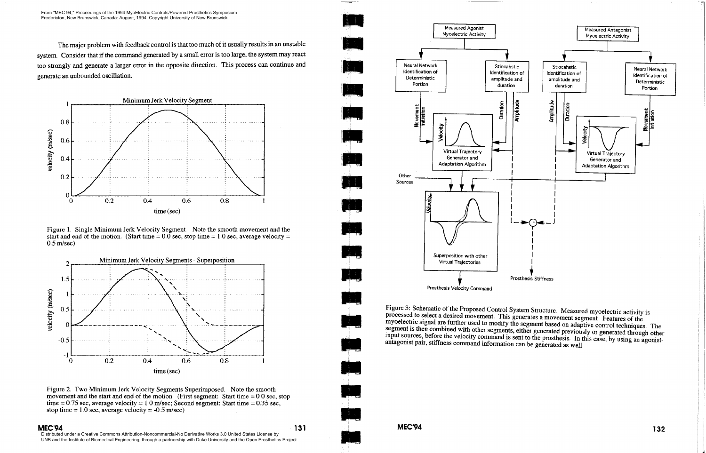The major problem with feedback control is that too much of it usually results in an unstable system Consider that if the command generated by a small error is too large, the system mayreact too strongly and generate a larger error in the opposite direction This process can continue and generate an unbounded oscillation.



Figure 1. Single Minimum Jerk Velocity Segment. Note the smooth movement and the start and end of the motion. (Start time =  $0.0$  sec, stop time = 1.0 sec, average velocity =  $0.5$  m/sec)



Figure 2. Two Minimum Jerk Velocity Segments Superimposed. Note the smooth movement and the start and end of the motion (First segment: Start time  $= 0.0$  sec, stop time = 0.75 sec, average velocity = 1.0 m/sec; Second segment: Start time = 0.35 sec, stop time  $= 1.0$  sec, average velocity  $= -0.5$  m/sec)

### MEC'94

131

o 11- Other Sources Virtual Trajectory Generator and Adaptation Algorithm V Superposition with other Virtual Trajectories Prosthesis Velocity Command Measured Agonist

Figure 3: Schematic of the Proposed Control System Structure. Measured myoelectric activity is<br>processed to select a desired movement. This generates a movement segment. Features of the<br>myoelectric signal are further used input sources, before the velocity command is sent to the prosthesis. In this case, by using an agonist-<br>antagonist pair, stiffness command information can be generated as well.



From "MEC 94," Proceedings of the 1994 MyoElectric Controls/Powered Prosthetics Symposium Fredericton, New Brunswick, Canada: August, 1994. Copyright University of New Brunswick.

Distributed under a Creative Commons Attribution-Noncommercial-No Derivative Works 3.0 United States License by UNB and the Institute of Biomedical Engineering, through a partnership with Duke University and the Open Prosthetics Project.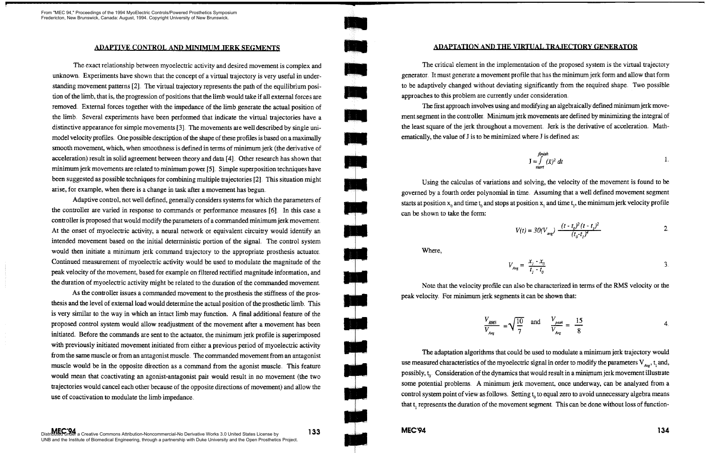The exact relationship between myoelectric activity and desired movement is complex and unknown. Experiments have shown that the concept of a virtual trajectory is very useful in understanding movement patterns [2]. The virtual trajectory represents the path of the equilibrium position of the limb, that is, the progression of positions that the limb would take if all external forces are removed. External forces together with the impedance of the limb generate the actual position of the limb. Several experiments have been performed that indicate the virtual trajectories have a distinctive appearance for simple movements  $[3]$ . The movements are well described by single unimodel velocity profiles. One possible description of the shape of these profiles is based on a maximally smooth movement, which, when smoothness is defined in terms of minimum jerk (the derivative of acceleration) result in solid agreement between theory and data [4]. Other research has shown that minimum jerk movements are related to minimum power [5]. Simple superposition techniques have been suggested as possible techniques for combining multiple trajectories [2]. This situation might arise, for example, when there is a change in task after a movement has begun

Adaptive control, not well defined, generally considers systems for which the parameters of the controller are varied in response to commands or performance measures [6]. In this case a controller is proposed that would modify the parameters of a commanded minimum jerk movement. At the onset of myoelectric activity, a neural network or equivalent circuitry would identify an intended movement based on the initial deterministic portion of the signal The control system would then initiate a minimum jerk command trajectory to the appropriate prosthesis actuatoi Continued measurement of myoelectric activity would be used to modulate the magnitude of the peak velocity of the movement, based fin example on filtered rectified magnitude information, and the duration of myoelectric activity might be related to the duration of the commanded movement.

As the controller issues a commanded movement to the prosthesis the stiffness of the prosthesis and the level of external load would determine the actual position of the prosthetic limb. This is very similar to the way in which an intact limb may function. A final additional feature of the proposed control system would allow readjustment of the movement after a movement has been initiated. Before the commands are sent to the actuator, the minimum jerk profile is superimposed with previously initiated movement initiated from either a previous period of myoelectric activity from the same muscle or from an antagonist muscle. The commanded movement from an antagonist muscle would be in the opposite direction as a command from the agonist muscle. This feature would mean that coactivating an agonist-antagonist pair would result in no movement (the two trajectories would cancel each other because of the opposite directions of movement) and allow the use of coactivation to modulate the limb impedance

Using the calculus of variations and solving, the velocity of the movement is found to be governed by a fourth order polynomial in time Assuming that a well defined movement segment starts at position  $x_0$  and time t<sub>o</sub> and stops at position x<sub>1</sub> and time t<sub>1</sub>, the minimum jerk velocity profile

Note that the velocity profile can also be characterized in terms of the RMS velocity or the peak velocity. For minimum jerk segments it can be shown that:

 $MEC'94$  134

## ADAPTIVE CONTROL AND MINIMUM JERK SEGMENTS ADAPTATION AND THE VIRTUAL TRAJECTORY GENERATOR

The critical element in the implementation of the proposed system is the virtual trajectoiy generator. It must generate a movement profile that has the minimum jerk form and allow that form to be adaptively changed without deviating significantly from the required shape. Two possible approaches to this problem are currently under consideration

The first approach involves using and modifying an algebraically defined minimum jerk movement segment in the controller. Minimum jerk movements are defined by minimizing the integral of the least square of the jerk throughout a movement. Jerk is the derivative of acceleration. Mathematically, the value of  $J$  is to be minimized where  $J$  is defined as:

$$
\int \frac{f \sinh t}{\sin t} \, dx
$$



Where,

$$
V_{Avg} = \frac{x_j - x_o}{t_j - t_o} \tag{3}
$$

$$
V(t) = 30(V_{avg}) \frac{(t - t_0)^2 (t - t_1)^2}{(t_0 - t_1)^4}
$$
 2.

$$
\frac{V_{RMS}}{V_{Avg}} = \sqrt{\frac{V_{RMS}}{V_{Avg}}}
$$

The adaptation algorithms that could be used to modulate a minimum jerk trajectory would use measured characteristics of the myoelectric signal in order to modify the parameters  $V_{\text{max}}$ , t, and, possibly,  $t_0$ . Consideration of the dynamics that would result in a minimum jerk movement illustrate some potential problems. A minimum jerk movement, once underway, can be analyzed from a control system point of view as follows. Setting  $t_{\alpha}$  to equal zero to avoid unnecessary algebra means that t<sub>r</sub> represents the duration of the movement segment. This can be done without loss of function-

$$
\frac{V_{RMS}}{V_{Avg}} = \sqrt{\frac{10}{7}} \quad \text{and} \quad \frac{V_{peak}}{V_{Avg}} = \frac{15}{8} \tag{4}
$$

From "MEC 94," Proceedings of the 1994 MyoElectric Controls/Powered Prosthetics Symposium Fredericton, New Brunswick, Canada: August, 1994. Copyright University of New Brunswick.